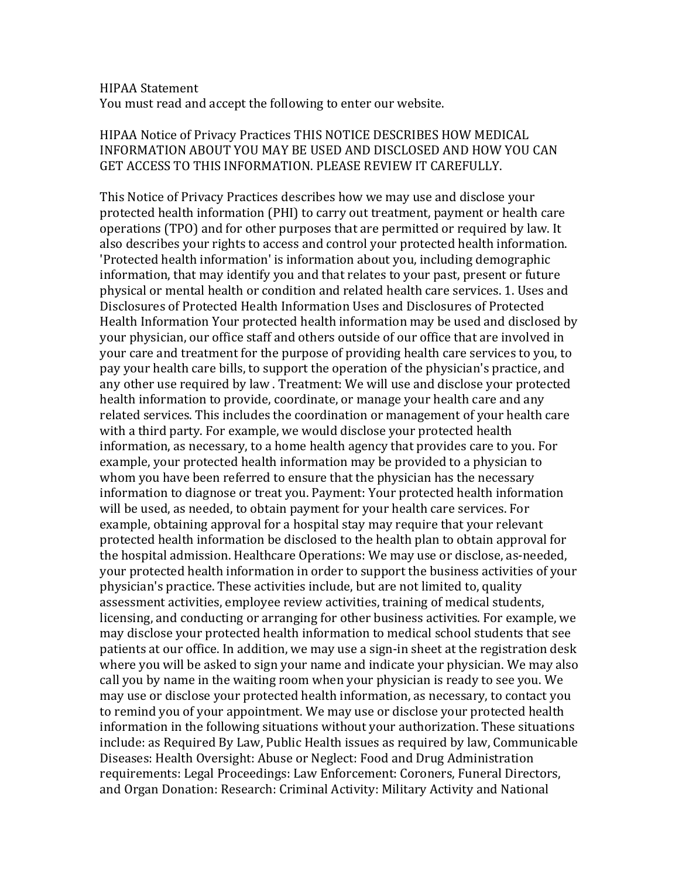## HIPAA Statement

You must read and accept the following to enter our website.

## HIPAA Notice of Privacy Practices THIS NOTICE DESCRIBES HOW MEDICAL INFORMATION ABOUT YOU MAY BE USED AND DISCLOSED AND HOW YOU CAN GET ACCESS TO THIS INFORMATION. PLEASE REVIEW IT CAREFULLY.

This Notice of Privacy Practices describes how we may use and disclose your protected health information (PHI) to carry out treatment, payment or health care operations (TPO) and for other purposes that are permitted or required by law. It also describes your rights to access and control your protected health information. 'Protected health information' is information about you, including demographic information, that may identify you and that relates to your past, present or future physical or mental health or condition and related health care services. 1. Uses and Disclosures of Protected Health Information Uses and Disclosures of Protected Health Information Your protected health information may be used and disclosed by your physician, our office staff and others outside of our office that are involved in your care and treatment for the purpose of providing health care services to you, to pay your health care bills, to support the operation of the physician's practice, and any other use required by law. Treatment: We will use and disclose your protected health information to provide, coordinate, or manage your health care and any related services. This includes the coordination or management of your health care with a third party. For example, we would disclose your protected health information, as necessary, to a home health agency that provides care to you. For example, your protected health information may be provided to a physician to whom you have been referred to ensure that the physician has the necessary information to diagnose or treat you. Payment: Your protected health information will be used, as needed, to obtain payment for your health care services. For example, obtaining approval for a hospital stay may require that your relevant protected health information be disclosed to the health plan to obtain approval for the hospital admission. Healthcare Operations: We may use or disclose, as-needed, your protected health information in order to support the business activities of your physician's practice. These activities include, but are not limited to, quality assessment activities, employee review activities, training of medical students, licensing, and conducting or arranging for other business activities. For example, we may disclose your protected health information to medical school students that see patients at our office. In addition, we may use a sign-in sheet at the registration desk where you will be asked to sign your name and indicate your physician. We may also call you by name in the waiting room when your physician is ready to see you. We may use or disclose your protected health information, as necessary, to contact you to remind you of your appointment. We may use or disclose your protected health information in the following situations without your authorization. These situations include: as Required By Law, Public Health issues as required by law, Communicable Diseases: Health Oversight: Abuse or Neglect: Food and Drug Administration requirements: Legal Proceedings: Law Enforcement: Coroners, Funeral Directors, and Organ Donation: Research: Criminal Activity: Military Activity and National